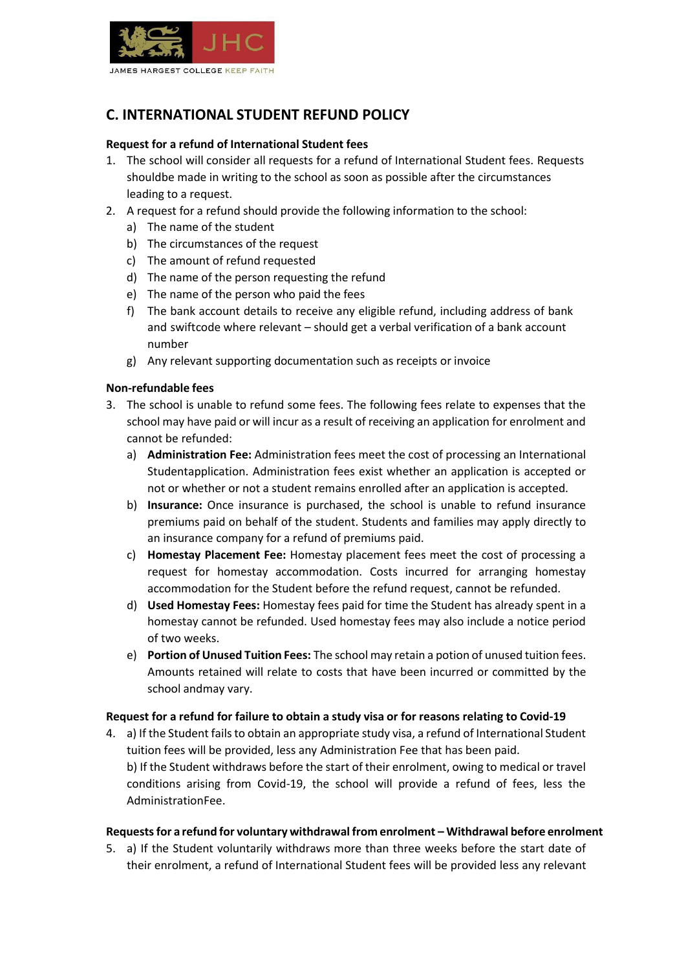

# **C. INTERNATIONAL STUDENT REFUND POLICY**

## **Request for a refund of International Student fees**

- 1. The school will consider all requests for a refund of International Student fees. Requests shouldbe made in writing to the school as soon as possible after the circumstances leading to a request.
- 2. A request for a refund should provide the following information to the school:
	- a) The name of the student
	- b) The circumstances of the request
	- c) The amount of refund requested
	- d) The name of the person requesting the refund
	- e) The name of the person who paid the fees
	- f) The bank account details to receive any eligible refund, including address of bank and swiftcode where relevant – should get a verbal verification of a bank account number
	- g) Any relevant supporting documentation such as receipts or invoice

#### **Non-refundable fees**

- 3. The school is unable to refund some fees. The following fees relate to expenses that the school may have paid or will incur as a result of receiving an application for enrolment and cannot be refunded:
	- a) **Administration Fee:** Administration fees meet the cost of processing an International Studentapplication. Administration fees exist whether an application is accepted or not or whether or not a student remains enrolled after an application is accepted.
	- b) **Insurance:** Once insurance is purchased, the school is unable to refund insurance premiums paid on behalf of the student. Students and families may apply directly to an insurance company for a refund of premiums paid.
	- c) **Homestay Placement Fee:** Homestay placement fees meet the cost of processing a request for homestay accommodation. Costs incurred for arranging homestay accommodation for the Student before the refund request, cannot be refunded.
	- d) **Used Homestay Fees:** Homestay fees paid for time the Student has already spent in a homestay cannot be refunded. Used homestay fees may also include a notice period of two weeks.
	- e) **Portion of Unused Tuition Fees:** The school may retain a potion of unused tuition fees. Amounts retained will relate to costs that have been incurred or committed by the school andmay vary.

#### **Request for a refund for failure to obtain a study visa or for reasons relating to Covid-19**

4. a) If the Student fails to obtain an appropriate study visa, a refund of International Student tuition fees will be provided, less any Administration Fee that has been paid. b) If the Student withdraws before the start of their enrolment, owing to medical or travel conditions arising from Covid-19, the school will provide a refund of fees, less the AdministrationFee.

#### **Requestsfor a refund for voluntary withdrawal from enrolment – Withdrawal before enrolment**

5. a) If the Student voluntarily withdraws more than three weeks before the start date of their enrolment, a refund of International Student fees will be provided less any relevant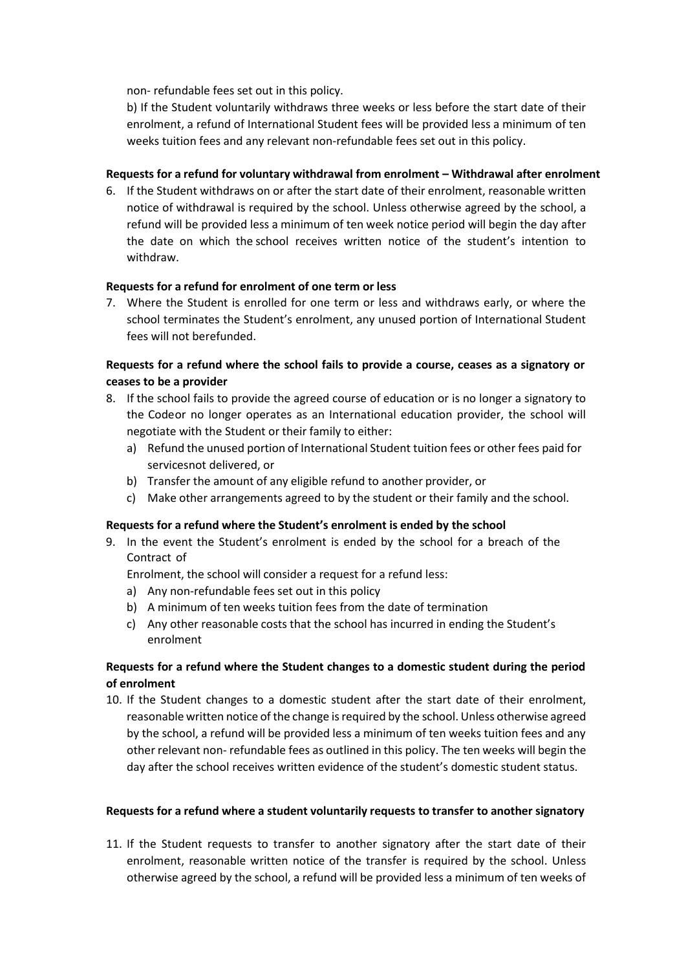non- refundable fees set out in this policy.

b) If the Student voluntarily withdraws three weeks or less before the start date of their enrolment, a refund of International Student fees will be provided less a minimum of ten weeks tuition fees and any relevant non-refundable fees set out in this policy.

## **Requests for a refund for voluntary withdrawal from enrolment – Withdrawal after enrolment**

6. If the Student withdraws on or after the start date of their enrolment, reasonable written notice of withdrawal is required by the school. Unless otherwise agreed by the school, a refund will be provided less a minimum of ten week notice period will begin the day after the date on which the school receives written notice of the student's intention to withdraw.

## **Requests for a refund for enrolment of one term or less**

7. Where the Student is enrolled for one term or less and withdraws early, or where the school terminates the Student's enrolment, any unused portion of International Student fees will not berefunded.

# **Requests for a refund where the school fails to provide a course, ceases as a signatory or ceases to be a provider**

- 8. If the school fails to provide the agreed course of education or is no longer a signatory to the Codeor no longer operates as an International education provider, the school will negotiate with the Student or their family to either:
	- a) Refund the unused portion of International Student tuition fees or other fees paid for servicesnot delivered, or
	- b) Transfer the amount of any eligible refund to another provider, or
	- c) Make other arrangements agreed to by the student or their family and the school.

#### **Requests for a refund where the Student's enrolment is ended by the school**

9. In the event the Student's enrolment is ended by the school for a breach of the Contract of

Enrolment, the school will consider a request for a refund less:

- a) Any non-refundable fees set out in this policy
- b) A minimum of ten weeks tuition fees from the date of termination
- c) Any other reasonable costs that the school has incurred in ending the Student's enrolment

## **Requests for a refund where the Student changes to a domestic student during the period of enrolment**

10. If the Student changes to a domestic student after the start date of their enrolment, reasonable written notice of the change is required by the school. Unless otherwise agreed by the school, a refund will be provided less a minimum of ten weeks tuition fees and any other relevant non- refundable fees as outlined in this policy. The ten weeks will begin the day after the school receives written evidence of the student's domestic student status.

## **Requests for a refund where a student voluntarily requests to transfer to another signatory**

11. If the Student requests to transfer to another signatory after the start date of their enrolment, reasonable written notice of the transfer is required by the school. Unless otherwise agreed by the school, a refund will be provided less a minimum of ten weeks of